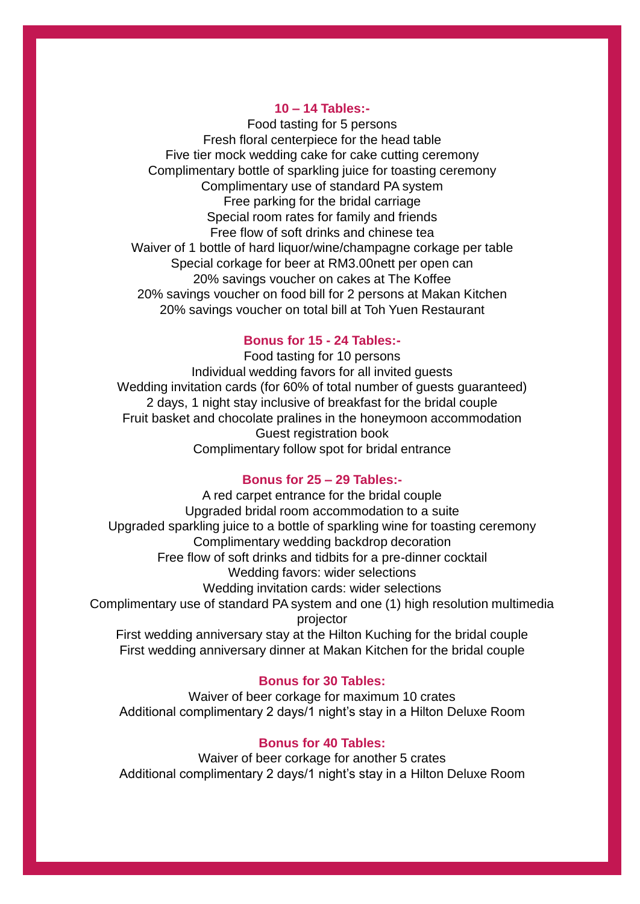## **10 – 14 Tables:-**

Food tasting for 5 persons Fresh floral centerpiece for the head table Five tier mock wedding cake for cake cutting ceremony Complimentary bottle of sparkling juice for toasting ceremony Complimentary use of standard PA system Free parking for the bridal carriage Special room rates for family and friends Free flow of soft drinks and chinese tea Waiver of 1 bottle of hard liquor/wine/champagne corkage per table Special corkage for beer at RM3.00nett per open can 20% savings voucher on cakes at The Koffee 20% savings voucher on food bill for 2 persons at Makan Kitchen 20% savings voucher on total bill at Toh Yuen Restaurant

## **Bonus for 15 - 24 Tables:-**

Food tasting for 10 persons Individual wedding favors for all invited guests Wedding invitation cards (for 60% of total number of guests guaranteed) 2 days, 1 night stay inclusive of breakfast for the bridal couple Fruit basket and chocolate pralines in the honeymoon accommodation Guest registration book Complimentary follow spot for bridal entrance

## **Bonus for 25 – 29 Tables:-**

A red carpet entrance for the bridal couple Upgraded bridal room accommodation to a suite Upgraded sparkling juice to a bottle of sparkling wine for toasting ceremony Complimentary wedding backdrop decoration Free flow of soft drinks and tidbits for a pre-dinner cocktail Wedding favors: wider selections Wedding invitation cards: wider selections Complimentary use of standard PA system and one (1) high resolution multimedia projector First wedding anniversary stay at the Hilton Kuching for the bridal couple First wedding anniversary dinner at Makan Kitchen for the bridal couple

## **Bonus for 30 Tables:**

Waiver of beer corkage for maximum 10 crates Additional complimentary 2 days/1 night's stay in a Hilton Deluxe Room

## **Bonus for 40 Tables:**

Waiver of beer corkage for another 5 crates Additional complimentary 2 days/1 night's stay in a Hilton Deluxe Room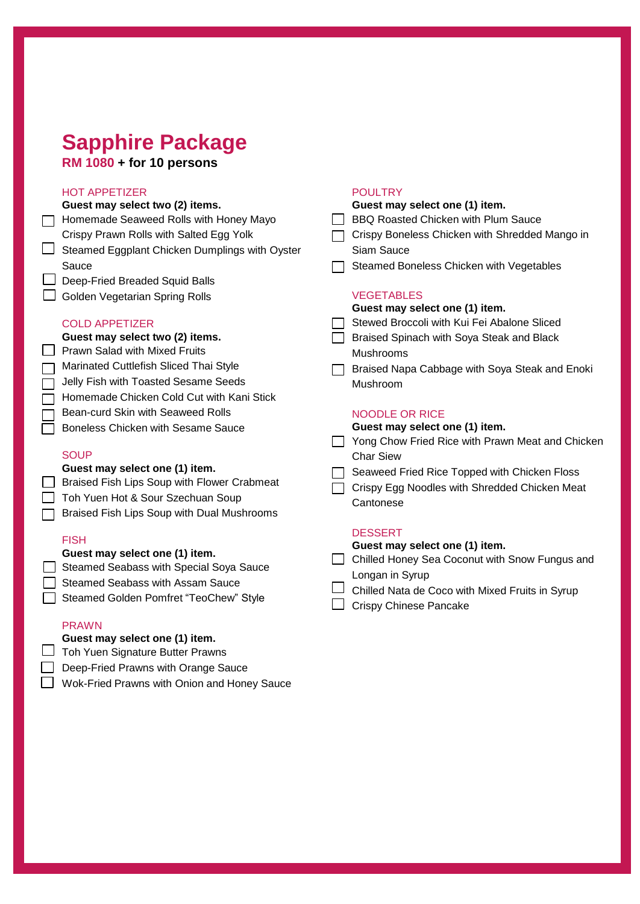## **Sapphire Package**

**RM 1080 + for 10 persons**

## HOT APPETIZER

| <b>HOT APPETIZER</b>                           | <b>POULTRY</b>                                   |
|------------------------------------------------|--------------------------------------------------|
| Guest may select two (2) items.                | Guest may select one (1) item.                   |
| Homemade Seaweed Rolls with Honey Mayo         | BBQ Roasted Chicken with Plum Sauce              |
| Crispy Prawn Rolls with Salted Egg Yolk        | Crispy Boneless Chicken with Shredded Mango in   |
| Steamed Eggplant Chicken Dumplings with Oyster | Siam Sauce                                       |
| Sauce                                          | Steamed Boneless Chicken with Vegetables         |
| Deep-Fried Breaded Squid Balls                 |                                                  |
| Golden Vegetarian Spring Rolls                 | <b>VEGETABLES</b>                                |
|                                                | Guest may select one (1) item.                   |
| <b>COLD APPETIZER</b>                          | Stewed Broccoli with Kui Fei Abalone Sliced      |
| Guest may select two (2) items.                | Braised Spinach with Soya Steak and Black        |
| <b>Prawn Salad with Mixed Fruits</b>           | <b>Mushrooms</b>                                 |
| Marinated Cuttlefish Sliced Thai Style         | Braised Napa Cabbage with Soya Steak and Enoki   |
| Jelly Fish with Toasted Sesame Seeds           | Mushroom                                         |
| Homemade Chicken Cold Cut with Kani Stick      |                                                  |
| <b>Bean-curd Skin with Seaweed Rolls</b>       | <b>NOODLE OR RICE</b>                            |
| <b>Boneless Chicken with Sesame Sauce</b>      | Guest may select one (1) item.                   |
|                                                | Yong Chow Fried Rice with Prawn Meat and Chicken |
| <b>SOUP</b>                                    | <b>Char Siew</b>                                 |
| Guest may select one (1) item.                 | Seaweed Fried Rice Topped with Chicken Floss     |
| Braised Fish Lips Soup with Flower Crabmeat    | Crispy Egg Noodles with Shredded Chicken Meat    |
| Toh Yuen Hot & Sour Szechuan Soup              | Cantonese                                        |
| Braised Fish Lips Soup with Dual Mushrooms     |                                                  |
|                                                | <b>DESSERT</b>                                   |
| <b>FISH</b>                                    | Guest may select one (1) item.                   |
| Guest may select one (1) item.                 | Chilled Honey Sea Coconut with Snow Fungus and   |
| Steamed Seabass with Special Soya Sauce        | Longan in Syrup                                  |
| <b>Steamed Seabass with Assam Sauce</b>        | Chilled Nata de Coco with Mixed Fruits in Syrup  |
| Steamed Golden Pomfret "TeoChew" Style         | <b>Crispy Chinese Pancake</b>                    |
|                                                |                                                  |
| <b>PRAWN</b>                                   |                                                  |

**Guest may select one (1) item.**

Toh Yuen Signature Butter Prawns

Deep-Fried Prawns with Orange Sauce

Wok-Fried Prawns with Onion and Honey Sauce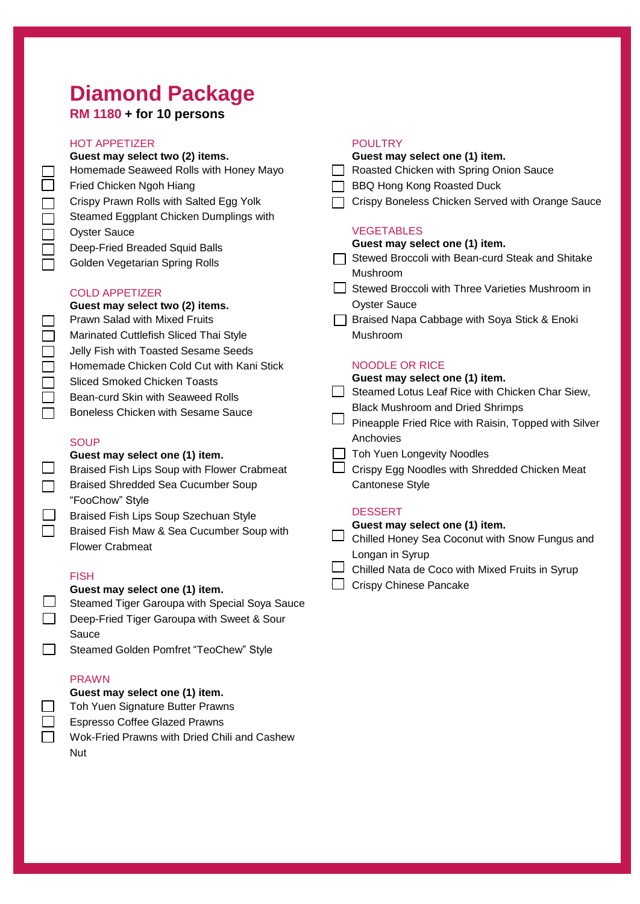## **Diamond Package**

## **RM 1180 + for 10 persons**

## HOT APPETIZER

|        | <b>HOT APPETIZER</b>                                                          |        | <b>POULTRY</b>                                                              |
|--------|-------------------------------------------------------------------------------|--------|-----------------------------------------------------------------------------|
|        | Guest may select two (2) items.                                               |        | Guest may select one (1) item.                                              |
|        | Homemade Seaweed Rolls with Honey Mayo                                        |        | Roasted Chicken with Spring Onion Sauce                                     |
|        | Fried Chicken Ngoh Hiang                                                      |        | <b>BBQ Hong Kong Roasted Duck</b>                                           |
|        | Crispy Prawn Rolls with Salted Egg Yolk                                       |        | Crispy Boneless Chicken Served with Orange Sauce                            |
|        | Steamed Eggplant Chicken Dumplings with                                       |        |                                                                             |
|        | <b>Oyster Sauce</b>                                                           |        | <b>VEGETABLES</b>                                                           |
|        | Deep-Fried Breaded Squid Balls                                                |        | Guest may select one (1) item.                                              |
|        | Golden Vegetarian Spring Rolls                                                |        | Stewed Broccoli with Bean-curd Steak and Shitake<br>Mushroom                |
|        | <b>COLD APPETIZER</b>                                                         |        | Stewed Broccoli with Three Varieties Mushroom in                            |
|        | Guest may select two (2) items.                                               |        | <b>Oyster Sauce</b>                                                         |
|        | <b>Prawn Salad with Mixed Fruits</b>                                          |        | Braised Napa Cabbage with Soya Stick & Enoki                                |
|        | Marinated Cuttlefish Sliced Thai Style                                        |        | Mushroom                                                                    |
|        | Jelly Fish with Toasted Sesame Seeds                                          |        |                                                                             |
|        | Homemade Chicken Cold Cut with Kani Stick                                     |        | <b>NOODLE OR RICE</b>                                                       |
| $\Box$ | <b>Sliced Smoked Chicken Toasts</b>                                           |        | Guest may select one (1) item.                                              |
|        | Bean-curd Skin with Seaweed Rolls                                             | $\Box$ | Steamed Lotus Leaf Rice with Chicken Char Siew,                             |
|        | <b>Boneless Chicken with Sesame Sauce</b>                                     |        | <b>Black Mushroom and Dried Shrimps</b>                                     |
|        |                                                                               |        | Pineapple Fried Rice with Raisin, Topped with Silver<br>Anchovies           |
|        | <b>SOUP</b>                                                                   |        |                                                                             |
|        | Guest may select one (1) item.<br>Braised Fish Lips Soup with Flower Crabmeat |        | Toh Yuen Longevity Noodles<br>Crispy Egg Noodles with Shredded Chicken Meat |
|        | <b>Braised Shredded Sea Cucumber Soup</b>                                     |        | <b>Cantonese Style</b>                                                      |
|        |                                                                               |        |                                                                             |
|        | "FooChow" Style                                                               |        | <b>DESSERT</b>                                                              |
|        | Braised Fish Lips Soup Szechuan Style                                         |        | Guest may select one (1) item.                                              |
|        | Braised Fish Maw & Sea Cucumber Soup with                                     |        | Chilled Honey Sea Coconut with Snow Fungus and                              |
|        | <b>Flower Crabmeat</b>                                                        |        | Longan in Syrup                                                             |
|        | <b>FISH</b>                                                                   |        | Chilled Nata de Coco with Mixed Fruits in Syrup                             |
|        | Guest may select one (1) item                                                 |        | <b>Crispy Chinese Pancake</b>                                               |

### **Guest may select one (1) item.**

- $\Box$ Steamed Tiger Garoupa with Special Soya Sauce
- $\Box$ Deep-Fried Tiger Garoupa with Sweet & Sour Sauce
- $\Box$ Steamed Golden Pomfret "TeoChew" Style

## PRAWN

|        | Guest may select one (1) item.       |
|--------|--------------------------------------|
| $\Box$ | Toh Yuen Signature Butter Prawns     |
| $\Box$ | <b>Espresso Coffee Glazed Prawns</b> |
| $\Box$ | Wok-Fried Prawns with Dried Chili a  |

Wok-Fried Prawns with Dried Chili and Cashew Nut